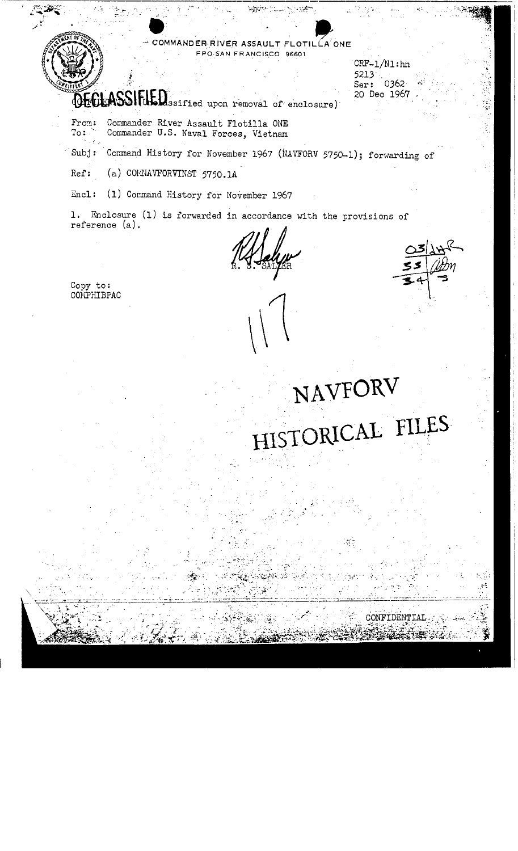## COMMANDER RIVER ASSAULT FLOTILLA ONE FPO-SAN FRANCISCO 96601

 $CRF-1/N1:$ hn 5213 Ser: 0362 20 Dec 1967

NAVFORV

HISTORICAL FILES

CONFIDENTIAL

## DECLASSIFILED ssified upon removal of enclosure)

- Commander River Assault Flotilla ONE From:  $To:$ Commander U.S. Naval Forces, Vietnam
- Command History for November 1967 (NAVFORV 5750-1); forwarding of  $Subj:$
- (a) COMNAVFORVINST 5750.1A Ref:
- Encl: (1) Command History for November 1967

1. Enclosure (1) is forwarded in accordance with the provisions of reference (a).

Copy to:<br>COMPHIBPAC

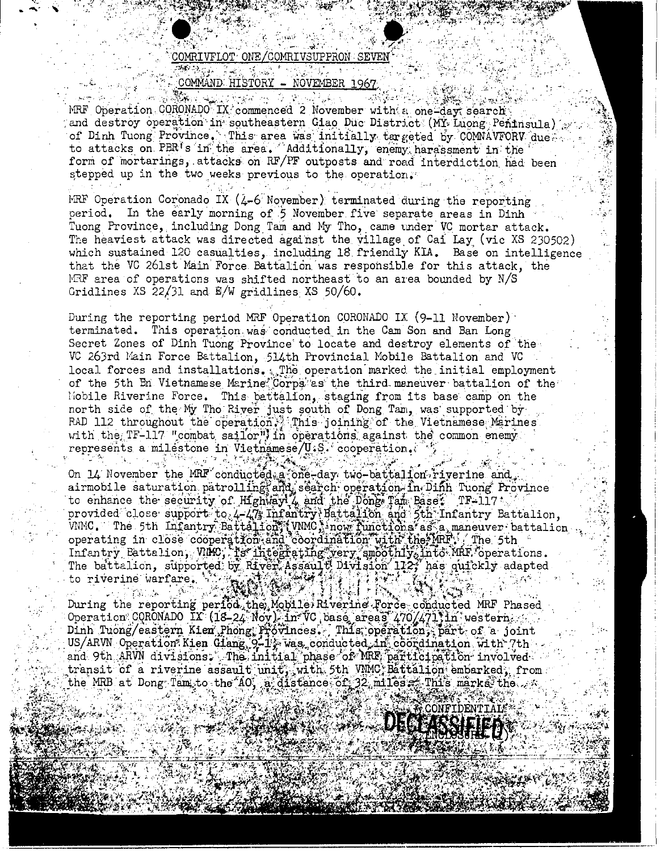## COMRIVFLOT ONE/COMRIVSUPPRON SEVEN 無格ない 348g 受説さ 388.55 (3)

## COMMAND HISTORY - NOVEMBER 1967

BANG A المستقبل فسأعتبض فكأحيط كالمهيج كالمهيئ MRF Operation CORONADO IX commenced 2 November with a one-day search and destroy operation in southeastern Giao Duc District (MY Luong Peninsula) of Dinh Tuong Province. This area was initially targeted by COMNAVFORV due. to attacks on PBR's in the area. Additionally, enemy harassment in the form of mortarings, attacks on RF/PF outposts and road interdiction had been stepped up in the two weeks previous to the operation.

MRF Operation Coronado IX  $(\lambda - 6)$  November) terminated during the reporting period. In the early morning of 5 November five separate areas in Dinh Tuong Province, including Dong Tam and My Tho, came under VC mortar attack. The heaviest attack was directed against the village of Cai Lay (vic XS 230502) which sustained 120 casualties, including 18 friendly KIA. Base on intelligence that the VC 261st Main Force Battalion was responsible for this attack, the MRF area of operations was shifted northeast to an area bounded by N/S Gridlines XS 22/31 and  $E/W$  gridlines XS 50/60.

During the reporting period MRF Operation CORONADO IX (9-11 November) terminated. This operation was conducted in the Cam Son and Ban Long Secret Zones of Dinh Tuong Province to locate and destroy elements of the VC 263rd Main Force Battalion, 514th Provincial Mobile Battalion and VC local forces and installations. The operation marked the initial employment of the 5th Bn Vietnamese Marine Corps as the third maneuver battalion of the Mobile Riverine Force. This battalion, staging from its base camp on the north side of the My Tho River just south of Dong Tam, was supported by RAD 112 throughout the operation. This joining of the Vietnamese Merines with the TF-117 "combat sailor") in operations against the common enemy. represents a milestone in Vietnemese/U.S. cooperation.

On 14 November the MRF conducted a fone-day two-battalion-riverine and airmobile saturation patrolling and search operation In Diffh Tuong Province<br>to enhance the security of Highway 4 and the Dong Tam Bases. TF-117: provided close support to 4-47; Infantry Battalion and 5th Infantry Battalion. When The 5th Infantry Battalion, Who inow functions as a maneuver battalion, The battalion, supported by River Assault Division 112; has quickly adapted to riverine warfare. تجنيز معيز

During the reporting period the Mobile Rivering Force conducted MRF Phased Operation CORONADO IX (18-24 Nov) in VC base areas 470/471 in western. and 9th ARVN divisions. The initial phase of MRF participation involved transit of a riverine assault unit, with 5th VMMC Battalion embarked, from the MRB at Dong Tam to the AO, a distance of 32 miles a This marks the  $\sim$ 

**AK CONFIDENTIAL**